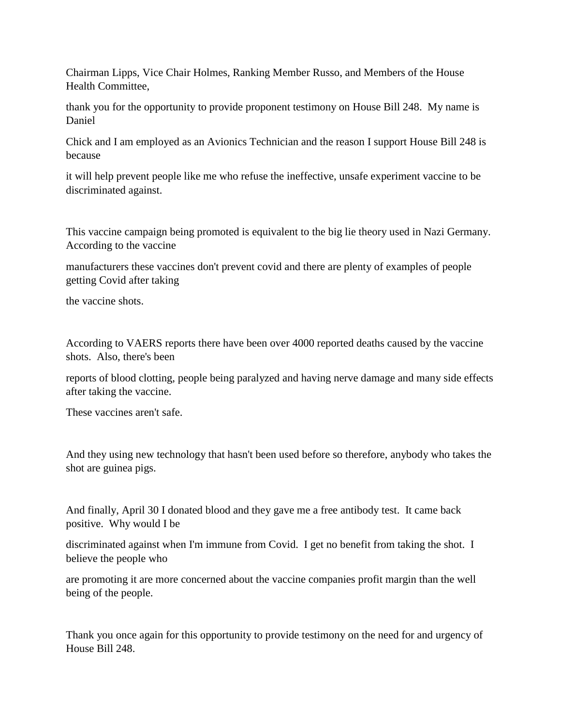Chairman Lipps, Vice Chair Holmes, Ranking Member Russo, and Members of the House Health Committee,

thank you for the opportunity to provide proponent testimony on House Bill 248. My name is Daniel

Chick and I am employed as an Avionics Technician and the reason I support House Bill 248 is because

it will help prevent people like me who refuse the ineffective, unsafe experiment vaccine to be discriminated against.

This vaccine campaign being promoted is equivalent to the big lie theory used in Nazi Germany. According to the vaccine

manufacturers these vaccines don't prevent covid and there are plenty of examples of people getting Covid after taking

the vaccine shots.

According to VAERS reports there have been over 4000 reported deaths caused by the vaccine shots. Also, there's been

reports of blood clotting, people being paralyzed and having nerve damage and many side effects after taking the vaccine.

These vaccines aren't safe.

And they using new technology that hasn't been used before so therefore, anybody who takes the shot are guinea pigs.

And finally, April 30 I donated blood and they gave me a free antibody test. It came back positive. Why would I be

discriminated against when I'm immune from Covid. I get no benefit from taking the shot. I believe the people who

are promoting it are more concerned about the vaccine companies profit margin than the well being of the people.

Thank you once again for this opportunity to provide testimony on the need for and urgency of House Bill 248.